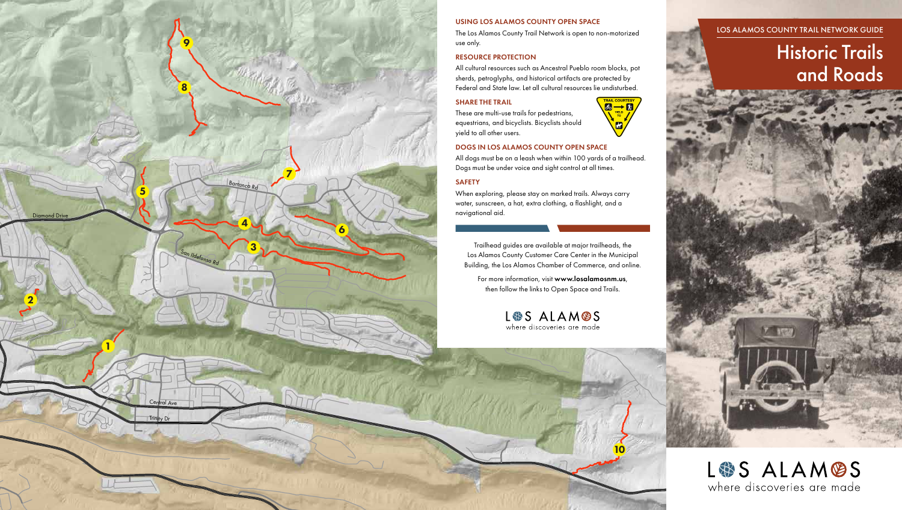10



LOS ALAMOS COUNTY TRAIL NETWORK GUIDE

# Historic Trails and Roads

LS ALAMOS where discoveries are made

### USING LOS ALAMOS COUNTY OPEN SPACE

The Los Alamos County Trail Network is open to non-motorized use only.

# RESOURCE PROTECTION

All cultural resources such as Ancestral Pueblo room blocks, pot sherds, petroglyphs, and historical artifacts are protected by Federal and State law. Let all cultural resources lie undisturbed.

## SHARE THE TRAIL

These are multi-use trails for pedestrians, equestrians, and bicyclists. Bicyclists should yield to all other users.



# DOGS IN LOS ALAMOS COUNTY OPEN SPACE

All dogs must be on a leash when within 100 yards of a trailhead. Dogs must be under voice and sight control at all times.

# SAFETY

When exploring, please stay on marked trails. Always carry water, sunscreen, a hat, extra clothing, a flashlight, and a navigational aid.

Trailhead guides are available at major trailheads, the Los Alamos County Customer Care Center in the Municipal Building, the Los Alamos Chamber of Commerce, and online.

For more information, visit www.losalamosnm.us, then follow the links to Open Space and Trails.

LS ALAMOS